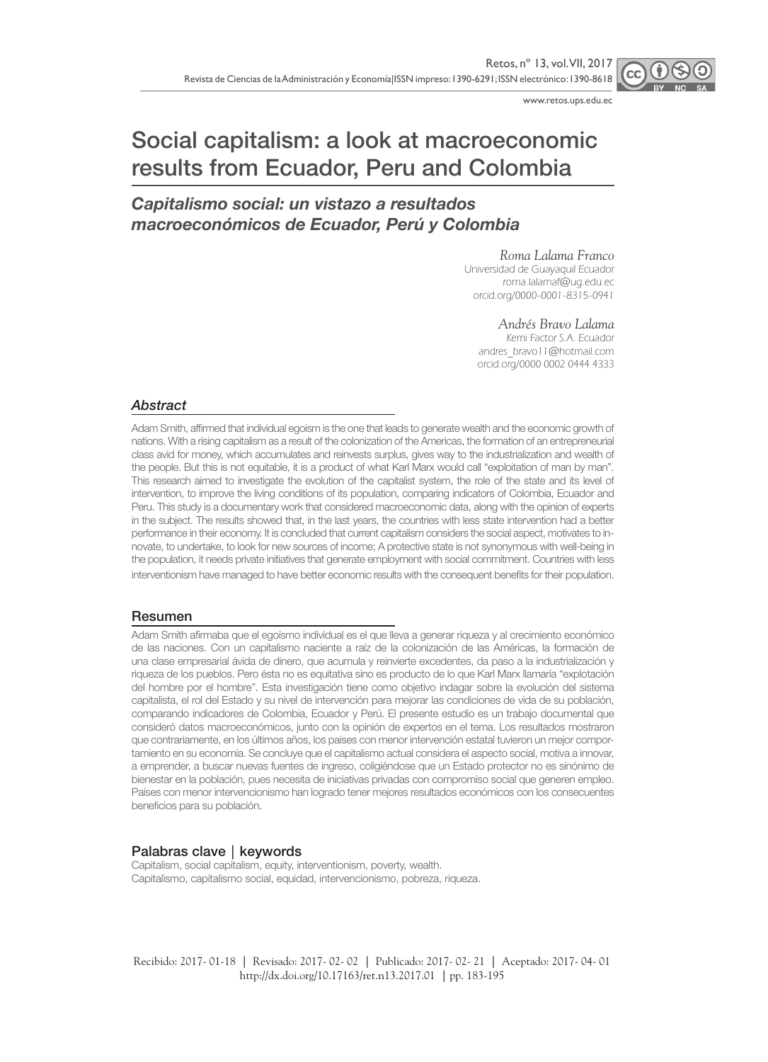

www.retos.ups.edu.ec

# Social capitalism: a look at macroeconomic results from Ecuador, Peru and Colombia

# *Capitalismo social: un vistazo a resultados macroeconómicos de Ecuador, Perú y Colombia*

#### *Roma Lalama Franco*

Universidad de Guayaquil Ecuador roma.lalamaf@ug.edu.ec orcid.org/0000-0001-8315-0941

#### *Andrés Bravo Lalama*

Kemi Factor S.A. Ecuador andres\_bravo11@hotmail.com orcid.org/0000 0002 0444 4333

#### *Abstract*

Adam Smith, affirmed that individual egoism is the one that leads to generate wealth and the economic growth of nations. With a rising capitalism as a result of the colonization of the Americas, the formation of an entrepreneurial class avid for money, which accumulates and reinvests surplus, gives way to the industrialization and wealth of the people. But this is not equitable, it is a product of what Karl Marx would call "exploitation of man by man". This research aimed to investigate the evolution of the capitalist system, the role of the state and its level of intervention, to improve the living conditions of its population, comparing indicators of Colombia, Ecuador and Peru. This study is a documentary work that considered macroeconomic data, along with the opinion of experts in the subject. The results showed that, in the last years, the countries with less state intervention had a better performance in their economy. It is concluded that current capitalism considers the social aspect, motivates to innovate, to undertake, to look for new sources of income; A protective state is not synonymous with well-being in the population, it needs private initiatives that generate employment with social commitment. Countries with less interventionism have managed to have better economic results with the consequent benefits for their population.

#### Resumen

Adam Smith afirmaba que el egoísmo individual es el que lleva a generar riqueza y al crecimiento económico de las naciones. Con un capitalismo naciente a raíz de la colonización de las Américas, la formación de una clase empresarial ávida de dinero, que acumula y reinvierte excedentes, da paso a la industrialización y riqueza de los pueblos. Pero ésta no es equitativa sino es producto de lo que Karl Marx llamaría "explotación del hombre por el hombre". Esta investigación tiene como objetivo indagar sobre la evolución del sistema capitalista, el rol del Estado y su nivel de intervención para mejorar las condiciones de vida de su población, comparando indicadores de Colombia, Ecuador y Perú. El presente estudio es un trabajo documental que consideró datos macroeconómicos, junto con la opinión de expertos en el tema. Los resultados mostraron que contrariamente, en los últimos años, los países con menor intervención estatal tuvieron un mejor comportamiento en su economía. Se concluye que el capitalismo actual considera el aspecto social, motiva a innovar, a emprender, a buscar nuevas fuentes de ingreso, coligiéndose que un Estado protector no es sinónimo de bienestar en la población, pues necesita de iniciativas privadas con compromiso social que generen empleo. Países con menor intervencionismo han logrado tener mejores resultados económicos con los consecuentes beneficios para su población.

#### Palabras clave│keywords

Capitalism, social capitalism, equity, interventionism, poverty, wealth. Capitalismo, capitalismo social, equidad, intervencionismo, pobreza, riqueza.

Recibido: 2017- 01-18 **│** Revisado: 2017- 02- 02 **│** Publicado: 2017- 02- 21 **│** Aceptado: 2017- 04- 01 http://dx.doi.org/10.17163/ret.n13.2017.01 **│**pp. 183-195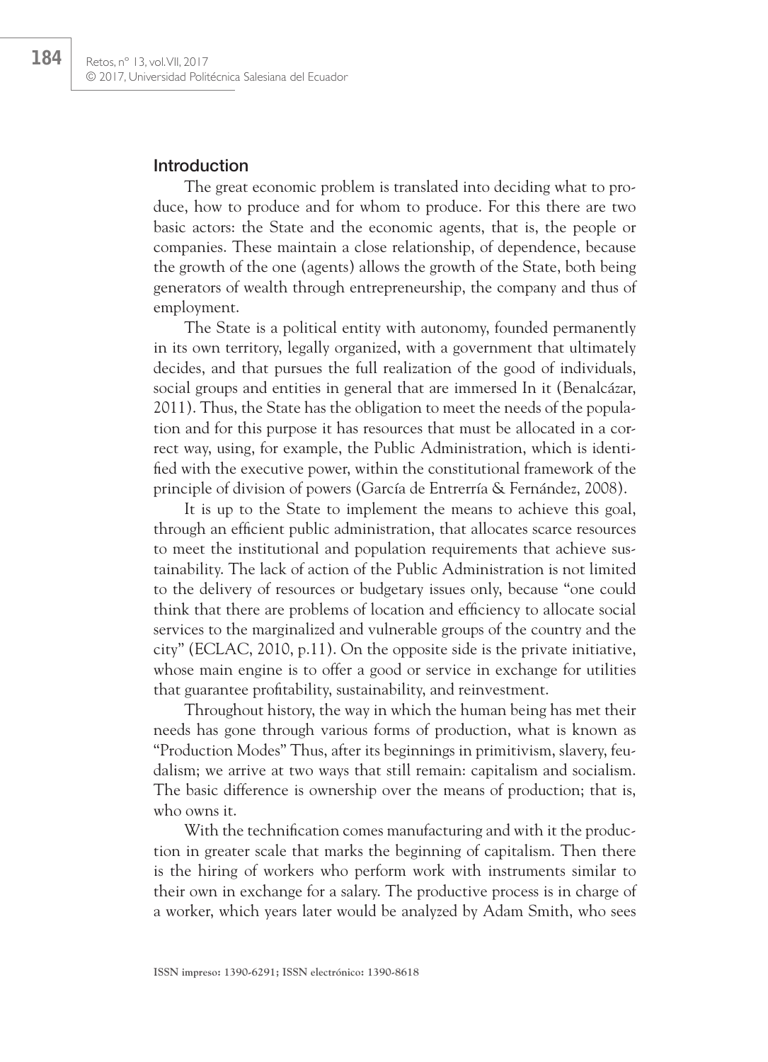## Introduction

The great economic problem is translated into deciding what to produce, how to produce and for whom to produce. For this there are two basic actors: the State and the economic agents, that is, the people or companies. These maintain a close relationship, of dependence, because the growth of the one (agents) allows the growth of the State, both being generators of wealth through entrepreneurship, the company and thus of employment.

The State is a political entity with autonomy, founded permanently in its own territory, legally organized, with a government that ultimately decides, and that pursues the full realization of the good of individuals, social groups and entities in general that are immersed In it (Benalcázar, 2011). Thus, the State has the obligation to meet the needs of the population and for this purpose it has resources that must be allocated in a correct way, using, for example, the Public Administration, which is identified with the executive power, within the constitutional framework of the principle of division of powers (García de Entrerría & Fernández, 2008).

It is up to the State to implement the means to achieve this goal, through an efficient public administration, that allocates scarce resources to meet the institutional and population requirements that achieve sustainability. The lack of action of the Public Administration is not limited to the delivery of resources or budgetary issues only, because "one could think that there are problems of location and efficiency to allocate social services to the marginalized and vulnerable groups of the country and the city" (ECLAC, 2010, p.11). On the opposite side is the private initiative, whose main engine is to offer a good or service in exchange for utilities that guarantee profitability, sustainability, and reinvestment.

Throughout history, the way in which the human being has met their needs has gone through various forms of production, what is known as "Production Modes" Thus, after its beginnings in primitivism, slavery, feudalism; we arrive at two ways that still remain: capitalism and socialism. The basic difference is ownership over the means of production; that is, who owns it.

With the technification comes manufacturing and with it the production in greater scale that marks the beginning of capitalism. Then there is the hiring of workers who perform work with instruments similar to their own in exchange for a salary. The productive process is in charge of a worker, which years later would be analyzed by Adam Smith, who sees

184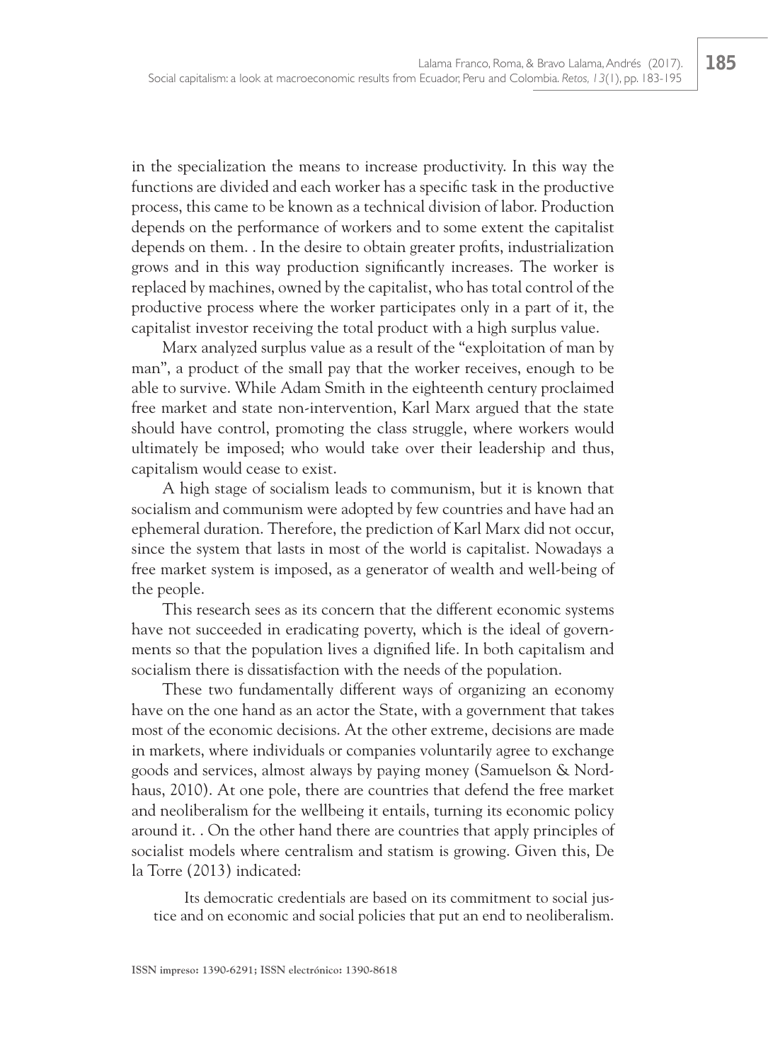in the specialization the means to increase productivity. In this way the functions are divided and each worker has a specific task in the productive process, this came to be known as a technical division of labor. Production depends on the performance of workers and to some extent the capitalist depends on them. . In the desire to obtain greater profits, industrialization grows and in this way production significantly increases. The worker is replaced by machines, owned by the capitalist, who has total control of the productive process where the worker participates only in a part of it, the capitalist investor receiving the total product with a high surplus value.

Marx analyzed surplus value as a result of the "exploitation of man by man", a product of the small pay that the worker receives, enough to be able to survive. While Adam Smith in the eighteenth century proclaimed free market and state non-intervention, Karl Marx argued that the state should have control, promoting the class struggle, where workers would ultimately be imposed; who would take over their leadership and thus, capitalism would cease to exist.

A high stage of socialism leads to communism, but it is known that socialism and communism were adopted by few countries and have had an ephemeral duration. Therefore, the prediction of Karl Marx did not occur, since the system that lasts in most of the world is capitalist. Nowadays a free market system is imposed, as a generator of wealth and well-being of the people.

This research sees as its concern that the different economic systems have not succeeded in eradicating poverty, which is the ideal of governments so that the population lives a dignified life. In both capitalism and socialism there is dissatisfaction with the needs of the population.

These two fundamentally different ways of organizing an economy have on the one hand as an actor the State, with a government that takes most of the economic decisions. At the other extreme, decisions are made in markets, where individuals or companies voluntarily agree to exchange goods and services, almost always by paying money (Samuelson & Nordhaus, 2010). At one pole, there are countries that defend the free market and neoliberalism for the wellbeing it entails, turning its economic policy around it. . On the other hand there are countries that apply principles of socialist models where centralism and statism is growing. Given this, De la Torre (2013) indicated:

Its democratic credentials are based on its commitment to social justice and on economic and social policies that put an end to neoliberalism.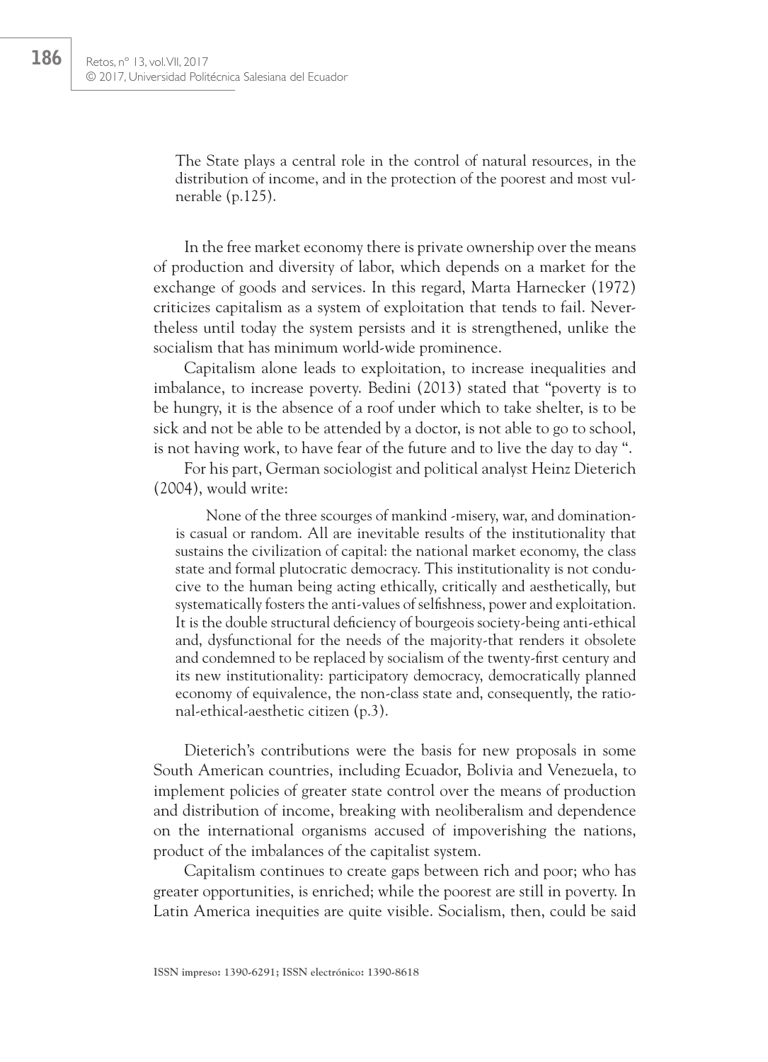The State plays a central role in the control of natural resources, in the distribution of income, and in the protection of the poorest and most vulnerable (p.125).

In the free market economy there is private ownership over the means of production and diversity of labor, which depends on a market for the exchange of goods and services. In this regard, Marta Harnecker (1972) criticizes capitalism as a system of exploitation that tends to fail. Nevertheless until today the system persists and it is strengthened, unlike the socialism that has minimum world-wide prominence.

Capitalism alone leads to exploitation, to increase inequalities and imbalance, to increase poverty. Bedini (2013) stated that "poverty is to be hungry, it is the absence of a roof under which to take shelter, is to be sick and not be able to be attended by a doctor, is not able to go to school, is not having work, to have fear of the future and to live the day to day ".

For his part, German sociologist and political analyst Heinz Dieterich (2004), would write:

None of the three scourges of mankind -misery, war, and dominationis casual or random. All are inevitable results of the institutionality that sustains the civilization of capital: the national market economy, the class state and formal plutocratic democracy. This institutionality is not conducive to the human being acting ethically, critically and aesthetically, but systematically fosters the anti-values of selfishness, power and exploitation. It is the double structural deficiency of bourgeois society-being anti-ethical and, dysfunctional for the needs of the majority-that renders it obsolete and condemned to be replaced by socialism of the twenty-first century and its new institutionality: participatory democracy, democratically planned economy of equivalence, the non-class state and, consequently, the rational-ethical-aesthetic citizen (p.3).

Dieterich's contributions were the basis for new proposals in some South American countries, including Ecuador, Bolivia and Venezuela, to implement policies of greater state control over the means of production and distribution of income, breaking with neoliberalism and dependence on the international organisms accused of impoverishing the nations, product of the imbalances of the capitalist system.

Capitalism continues to create gaps between rich and poor; who has greater opportunities, is enriched; while the poorest are still in poverty. In Latin America inequities are quite visible. Socialism, then, could be said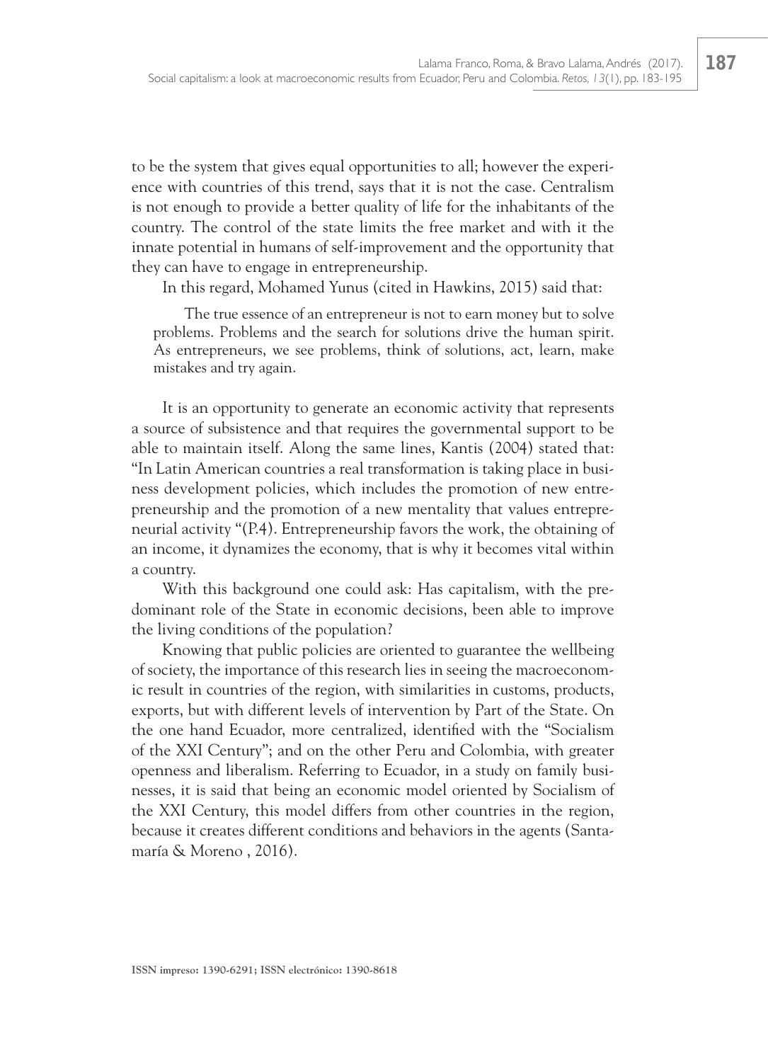to be the system that gives equal opportunities to all; however the experience with countries of this trend, says that it is not the case. Centralism is not enough to provide a better quality of life for the inhabitants of the country. The control of the state limits the free market and with it the innate potential in humans of self-improvement and the opportunity that they can have to engage in entrepreneurship.

In this regard, Mohamed Yunus (cited in Hawkins, 2015) said that:

The true essence of an entrepreneur is not to earn money but to solve problems. Problems and the search for solutions drive the human spirit. As entrepreneurs, we see problems, think of solutions, act, learn, make mistakes and try again.

It is an opportunity to generate an economic activity that represents a source of subsistence and that requires the governmental support to be able to maintain itself. Along the same lines, Kantis (2004) stated that: "In Latin American countries a real transformation is taking place in business development policies, which includes the promotion of new entrepreneurship and the promotion of a new mentality that values entrepreneurial activity "(P.4). Entrepreneurship favors the work, the obtaining of an income, it dynamizes the economy, that is why it becomes vital within a country.

With this background one could ask: Has capitalism, with the predominant role of the State in economic decisions, been able to improve the living conditions of the population?

Knowing that public policies are oriented to guarantee the wellbeing of society, the importance of this research lies in seeing the macroeconomic result in countries of the region, with similarities in customs, products, exports, but with different levels of intervention by Part of the State. On the one hand Ecuador, more centralized, identified with the "Socialism of the XXI Century"; and on the other Peru and Colombia, with greater openness and liberalism. Referring to Ecuador, in a study on family businesses, it is said that being an economic model oriented by Socialism of the XXI Century, this model differs from other countries in the region, because it creates different conditions and behaviors in the agents (Santamaría & Moreno , 2016).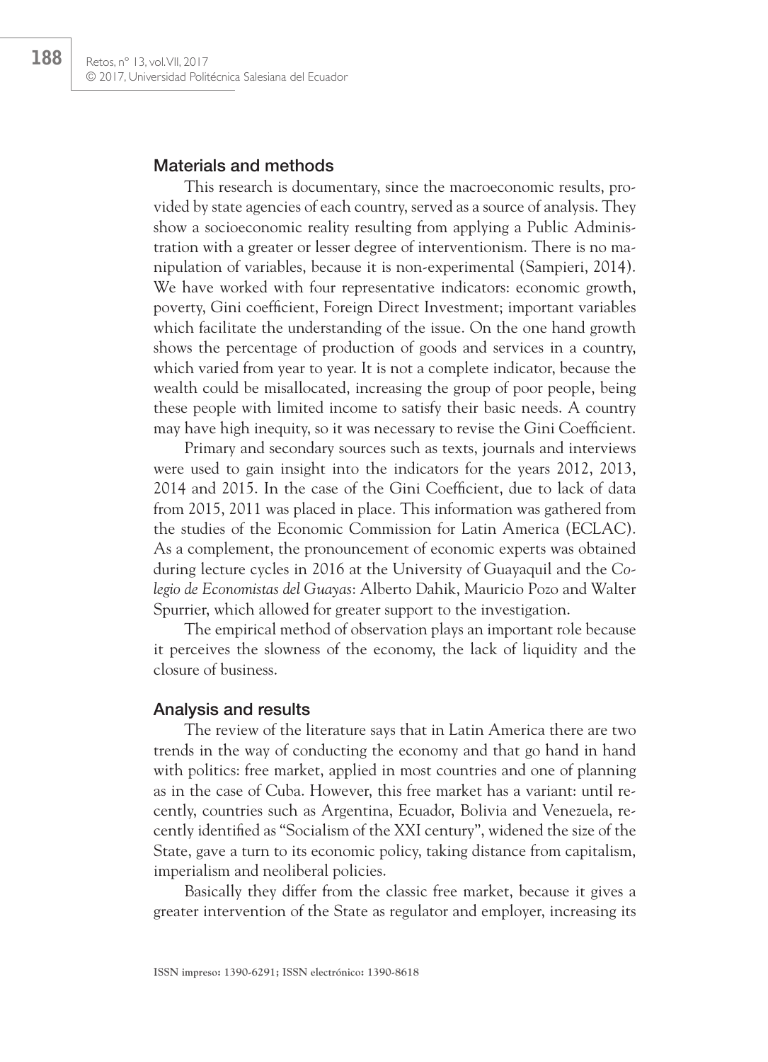## Materials and methods

This research is documentary, since the macroeconomic results, provided by state agencies of each country, served as a source of analysis. They show a socioeconomic reality resulting from applying a Public Administration with a greater or lesser degree of interventionism. There is no manipulation of variables, because it is non-experimental (Sampieri, 2014). We have worked with four representative indicators: economic growth, poverty, Gini coefficient, Foreign Direct Investment; important variables which facilitate the understanding of the issue. On the one hand growth shows the percentage of production of goods and services in a country, which varied from year to year. It is not a complete indicator, because the wealth could be misallocated, increasing the group of poor people, being these people with limited income to satisfy their basic needs. A country may have high inequity, so it was necessary to revise the Gini Coefficient.

Primary and secondary sources such as texts, journals and interviews were used to gain insight into the indicators for the years 2012, 2013, 2014 and 2015. In the case of the Gini Coefficient, due to lack of data from 2015, 2011 was placed in place. This information was gathered from the studies of the Economic Commission for Latin America (ECLAC). As a complement, the pronouncement of economic experts was obtained during lecture cycles in 2016 at the University of Guayaquil and the *Colegio de Economistas del Guayas*: Alberto Dahik, Mauricio Pozo and Walter Spurrier, which allowed for greater support to the investigation.

The empirical method of observation plays an important role because it perceives the slowness of the economy, the lack of liquidity and the closure of business.

## Analysis and results

The review of the literature says that in Latin America there are two trends in the way of conducting the economy and that go hand in hand with politics: free market, applied in most countries and one of planning as in the case of Cuba. However, this free market has a variant: until recently, countries such as Argentina, Ecuador, Bolivia and Venezuela, recently identified as "Socialism of the XXI century", widened the size of the State, gave a turn to its economic policy, taking distance from capitalism, imperialism and neoliberal policies.

Basically they differ from the classic free market, because it gives a greater intervention of the State as regulator and employer, increasing its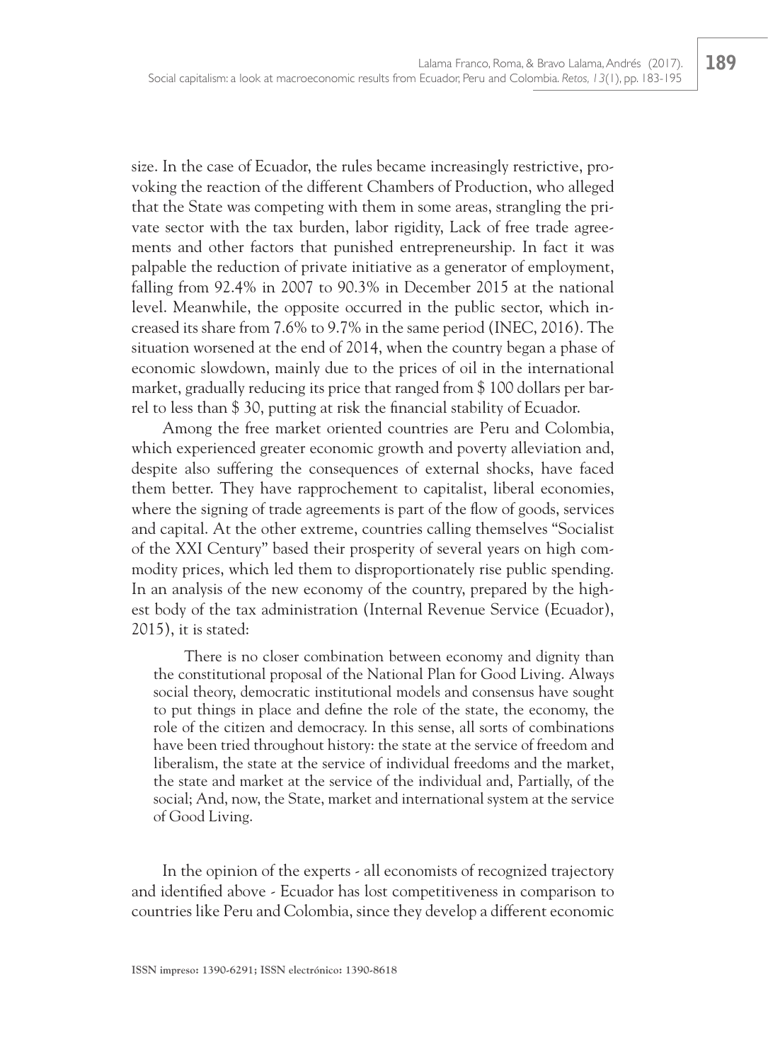size. In the case of Ecuador, the rules became increasingly restrictive, provoking the reaction of the different Chambers of Production, who alleged that the State was competing with them in some areas, strangling the private sector with the tax burden, labor rigidity, Lack of free trade agreements and other factors that punished entrepreneurship. In fact it was palpable the reduction of private initiative as a generator of employment, falling from 92.4% in 2007 to 90.3% in December 2015 at the national level. Meanwhile, the opposite occurred in the public sector, which increased its share from 7.6% to 9.7% in the same period (INEC, 2016). The situation worsened at the end of 2014, when the country began a phase of economic slowdown, mainly due to the prices of oil in the international market, gradually reducing its price that ranged from \$ 100 dollars per barrel to less than \$ 30, putting at risk the financial stability of Ecuador.

Among the free market oriented countries are Peru and Colombia, which experienced greater economic growth and poverty alleviation and, despite also suffering the consequences of external shocks, have faced them better. They have rapprochement to capitalist, liberal economies, where the signing of trade agreements is part of the flow of goods, services and capital. At the other extreme, countries calling themselves "Socialist of the XXI Century" based their prosperity of several years on high commodity prices, which led them to disproportionately rise public spending. In an analysis of the new economy of the country, prepared by the highest body of the tax administration (Internal Revenue Service (Ecuador), 2015), it is stated:

There is no closer combination between economy and dignity than the constitutional proposal of the National Plan for Good Living. Always social theory, democratic institutional models and consensus have sought to put things in place and define the role of the state, the economy, the role of the citizen and democracy. In this sense, all sorts of combinations have been tried throughout history: the state at the service of freedom and liberalism, the state at the service of individual freedoms and the market, the state and market at the service of the individual and, Partially, of the social; And, now, the State, market and international system at the service of Good Living.

In the opinion of the experts - all economists of recognized trajectory and identified above - Ecuador has lost competitiveness in comparison to countries like Peru and Colombia, since they develop a different economic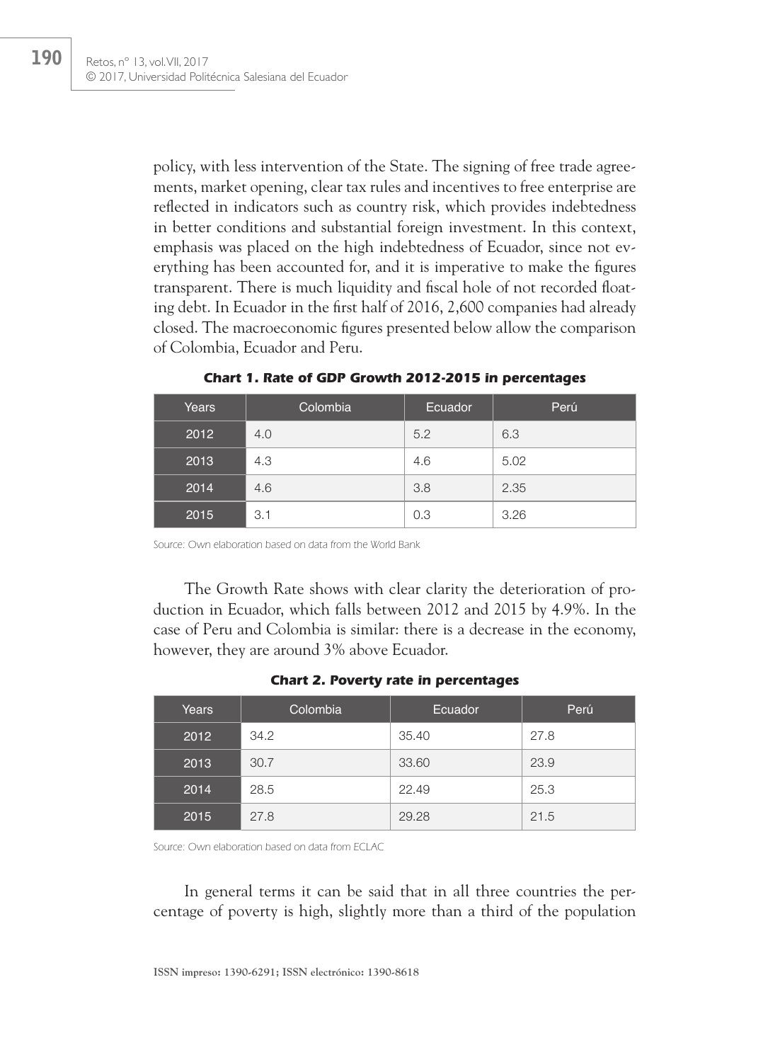policy, with less intervention of the State. The signing of free trade agreements, market opening, clear tax rules and incentives to free enterprise are reflected in indicators such as country risk, which provides indebtedness in better conditions and substantial foreign investment. In this context, emphasis was placed on the high indebtedness of Ecuador, since not everything has been accounted for, and it is imperative to make the figures transparent. There is much liquidity and fiscal hole of not recorded floating debt. In Ecuador in the first half of 2016, 2,600 companies had already closed. The macroeconomic figures presented below allow the comparison of Colombia, Ecuador and Peru.

| Years | Colombia | Ecuador | Perú |
|-------|----------|---------|------|
| 2012  | 4.0      | 5.2     | 6.3  |
| 2013  | 4.3      | 4.6     | 5.02 |
| 2014  | 4.6      | 3.8     | 2.35 |
| 2015  | 3.1      | 0.3     | 3.26 |

**Chart 1. Rate of GDP Growth 2012-2015 in percentages**

Source: Own elaboration based on data from the World Bank

The Growth Rate shows with clear clarity the deterioration of production in Ecuador, which falls between 2012 and 2015 by 4.9%. In the case of Peru and Colombia is similar: there is a decrease in the economy, however, they are around 3% above Ecuador.

|  |  |  | <b>Chart 2. Poverty rate in percentages</b> |
|--|--|--|---------------------------------------------|
|--|--|--|---------------------------------------------|

| Years | Colombia | Ecuador | Perú |
|-------|----------|---------|------|
| 2012  | 34.2     | 35.40   | 27.8 |
| 2013  | 30.7     | 33.60   | 23.9 |
| 2014  | 28.5     | 22.49   | 25.3 |
| 2015  | 27.8     | 29.28   | 21.5 |

Source: Own elaboration based on data from ECLAC

In general terms it can be said that in all three countries the percentage of poverty is high, slightly more than a third of the population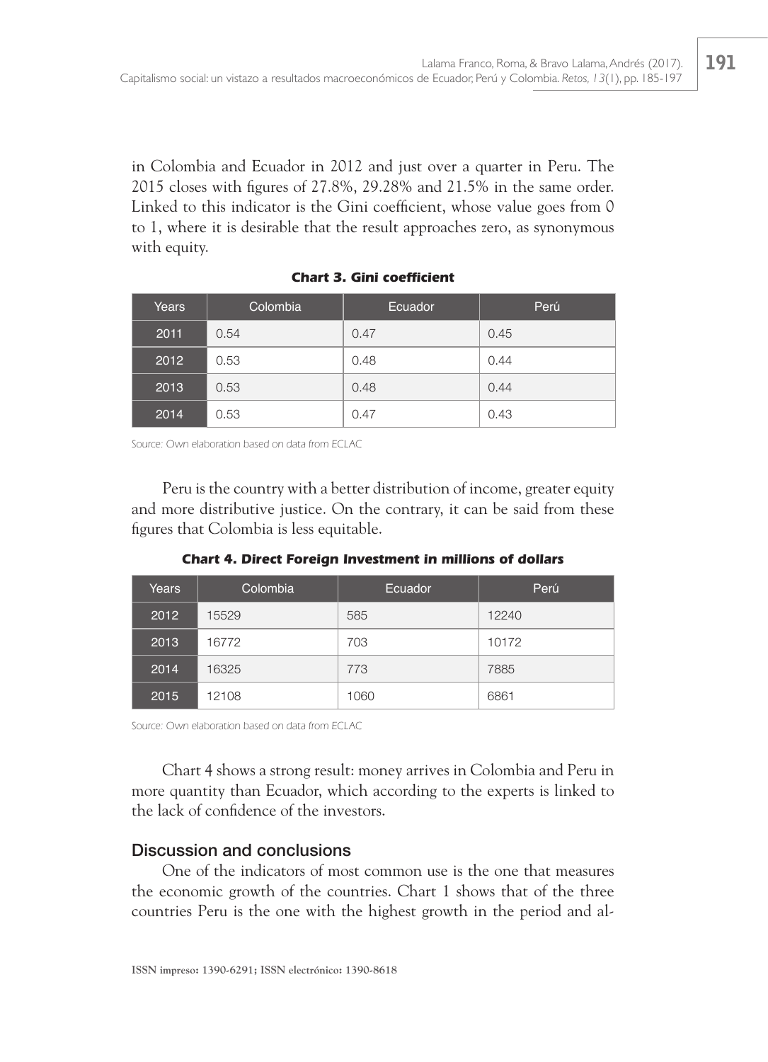in Colombia and Ecuador in 2012 and just over a quarter in Peru. The 2015 closes with figures of 27.8%, 29.28% and 21.5% in the same order. Linked to this indicator is the Gini coefficient, whose value goes from 0 to 1, where it is desirable that the result approaches zero, as synonymous with equity.

| Years | Colombia | Ecuador | Perú |
|-------|----------|---------|------|
| 2011  | 0.54     | 0.47    | 0.45 |
| 2012  | 0.53     | 0.48    | 0.44 |
| 2013  | 0.53     | 0.48    | 0.44 |
| 2014  | 0.53     | 0.47    | 0.43 |

**Chart 3. Gini coefficient**

Source: Own elaboration based on data from ECLAC

Peru is the country with a better distribution of income, greater equity and more distributive justice. On the contrary, it can be said from these figures that Colombia is less equitable.

**Chart 4. Direct Foreign Investment in millions of dollars**

| Years | Colombia | Ecuador | Perú  |
|-------|----------|---------|-------|
| 2012  | 15529    | 585     | 12240 |
| 2013  | 16772    | 703     | 10172 |
| 2014  | 16325    | 773     | 7885  |
| 2015  | 12108    | 1060    | 6861  |

Source: Own elaboration based on data from ECLAC

Chart 4 shows a strong result: money arrives in Colombia and Peru in more quantity than Ecuador, which according to the experts is linked to the lack of confidence of the investors.

# Discussion and conclusions

One of the indicators of most common use is the one that measures the economic growth of the countries. Chart 1 shows that of the three countries Peru is the one with the highest growth in the period and al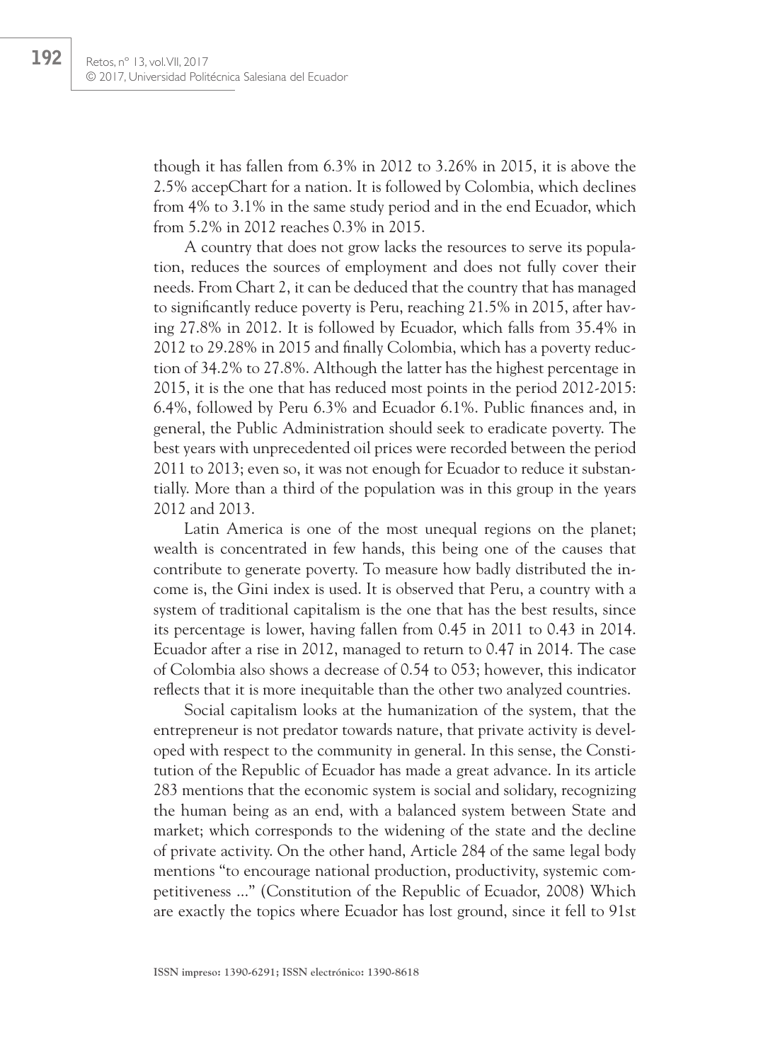though it has fallen from 6.3% in 2012 to 3.26% in 2015, it is above the 2.5% accepChart for a nation. It is followed by Colombia, which declines from 4% to 3.1% in the same study period and in the end Ecuador, which from 5.2% in 2012 reaches 0.3% in 2015.

A country that does not grow lacks the resources to serve its population, reduces the sources of employment and does not fully cover their needs. From Chart 2, it can be deduced that the country that has managed to significantly reduce poverty is Peru, reaching 21.5% in 2015, after having 27.8% in 2012. It is followed by Ecuador, which falls from 35.4% in 2012 to 29.28% in 2015 and finally Colombia, which has a poverty reduction of 34.2% to 27.8%. Although the latter has the highest percentage in 2015, it is the one that has reduced most points in the period 2012-2015: 6.4%, followed by Peru 6.3% and Ecuador 6.1%. Public finances and, in general, the Public Administration should seek to eradicate poverty. The best years with unprecedented oil prices were recorded between the period 2011 to 2013; even so, it was not enough for Ecuador to reduce it substantially. More than a third of the population was in this group in the years 2012 and 2013.

Latin America is one of the most unequal regions on the planet; wealth is concentrated in few hands, this being one of the causes that contribute to generate poverty. To measure how badly distributed the income is, the Gini index is used. It is observed that Peru, a country with a system of traditional capitalism is the one that has the best results, since its percentage is lower, having fallen from 0.45 in 2011 to 0.43 in 2014. Ecuador after a rise in 2012, managed to return to 0.47 in 2014. The case of Colombia also shows a decrease of 0.54 to 053; however, this indicator reflects that it is more inequitable than the other two analyzed countries.

Social capitalism looks at the humanization of the system, that the entrepreneur is not predator towards nature, that private activity is developed with respect to the community in general. In this sense, the Constitution of the Republic of Ecuador has made a great advance. In its article 283 mentions that the economic system is social and solidary, recognizing the human being as an end, with a balanced system between State and market; which corresponds to the widening of the state and the decline of private activity. On the other hand, Article 284 of the same legal body mentions "to encourage national production, productivity, systemic competitiveness ..." (Constitution of the Republic of Ecuador, 2008) Which are exactly the topics where Ecuador has lost ground, since it fell to 91st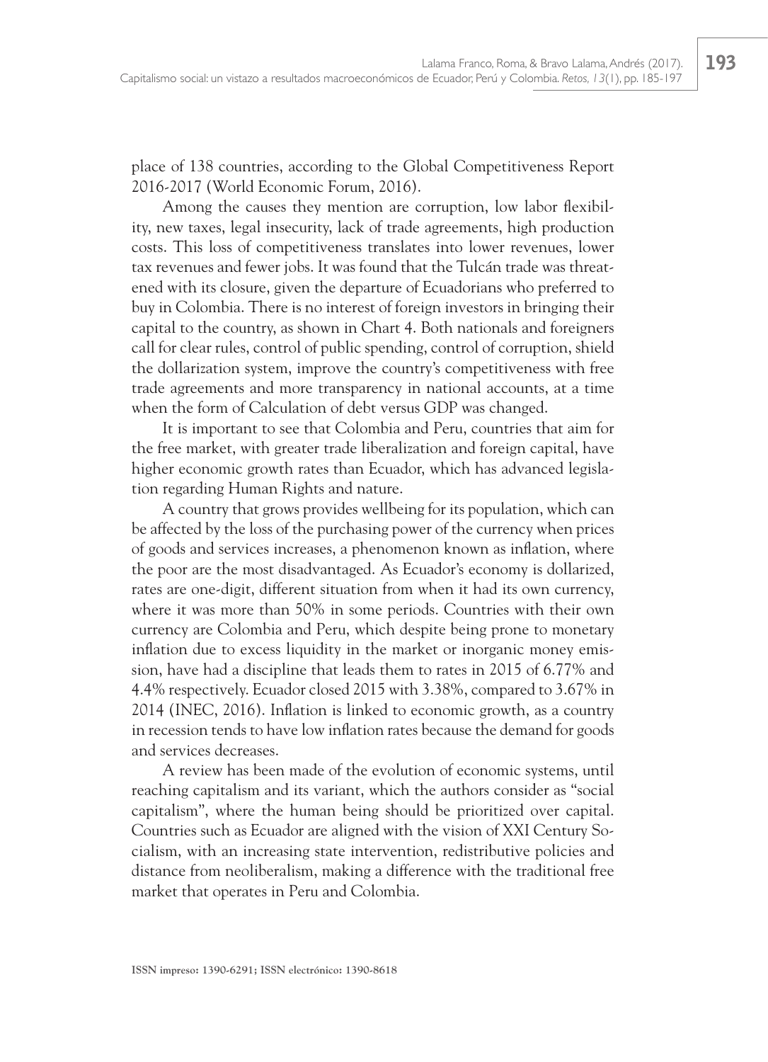place of 138 countries, according to the Global Competitiveness Report 2016-2017 (World Economic Forum, 2016).

Among the causes they mention are corruption, low labor flexibility, new taxes, legal insecurity, lack of trade agreements, high production costs. This loss of competitiveness translates into lower revenues, lower tax revenues and fewer jobs. It was found that the Tulcán trade was threatened with its closure, given the departure of Ecuadorians who preferred to buy in Colombia. There is no interest of foreign investors in bringing their capital to the country, as shown in Chart 4. Both nationals and foreigners call for clear rules, control of public spending, control of corruption, shield the dollarization system, improve the country's competitiveness with free trade agreements and more transparency in national accounts, at a time when the form of Calculation of debt versus GDP was changed.

It is important to see that Colombia and Peru, countries that aim for the free market, with greater trade liberalization and foreign capital, have higher economic growth rates than Ecuador, which has advanced legislation regarding Human Rights and nature.

A country that grows provides wellbeing for its population, which can be affected by the loss of the purchasing power of the currency when prices of goods and services increases, a phenomenon known as inflation, where the poor are the most disadvantaged. As Ecuador's economy is dollarized, rates are one-digit, different situation from when it had its own currency, where it was more than 50% in some periods. Countries with their own currency are Colombia and Peru, which despite being prone to monetary inflation due to excess liquidity in the market or inorganic money emission, have had a discipline that leads them to rates in 2015 of 6.77% and 4.4% respectively. Ecuador closed 2015 with 3.38%, compared to 3.67% in 2014 (INEC, 2016). Inflation is linked to economic growth, as a country in recession tends to have low inflation rates because the demand for goods and services decreases.

A review has been made of the evolution of economic systems, until reaching capitalism and its variant, which the authors consider as "social capitalism", where the human being should be prioritized over capital. Countries such as Ecuador are aligned with the vision of XXI Century Socialism, with an increasing state intervention, redistributive policies and distance from neoliberalism, making a difference with the traditional free market that operates in Peru and Colombia.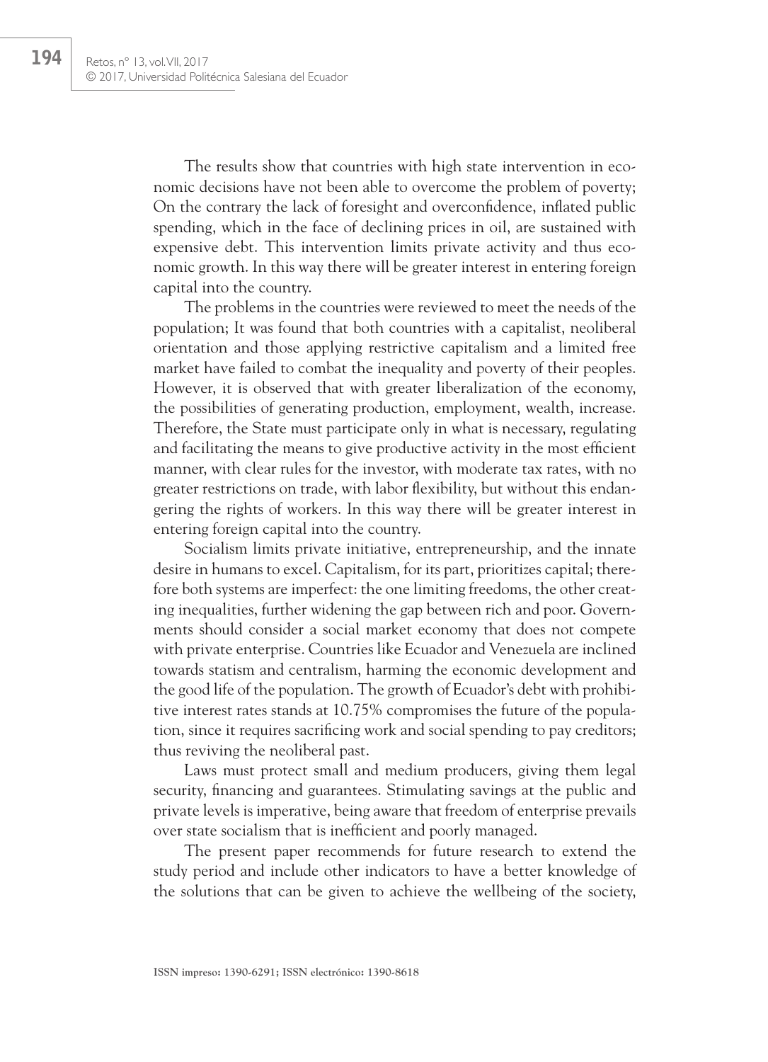The results show that countries with high state intervention in economic decisions have not been able to overcome the problem of poverty; On the contrary the lack of foresight and overconfidence, inflated public spending, which in the face of declining prices in oil, are sustained with expensive debt. This intervention limits private activity and thus economic growth. In this way there will be greater interest in entering foreign capital into the country.

The problems in the countries were reviewed to meet the needs of the population; It was found that both countries with a capitalist, neoliberal orientation and those applying restrictive capitalism and a limited free market have failed to combat the inequality and poverty of their peoples. However, it is observed that with greater liberalization of the economy, the possibilities of generating production, employment, wealth, increase. Therefore, the State must participate only in what is necessary, regulating and facilitating the means to give productive activity in the most efficient manner, with clear rules for the investor, with moderate tax rates, with no greater restrictions on trade, with labor flexibility, but without this endangering the rights of workers. In this way there will be greater interest in entering foreign capital into the country.

Socialism limits private initiative, entrepreneurship, and the innate desire in humans to excel. Capitalism, for its part, prioritizes capital; therefore both systems are imperfect: the one limiting freedoms, the other creating inequalities, further widening the gap between rich and poor. Governments should consider a social market economy that does not compete with private enterprise. Countries like Ecuador and Venezuela are inclined towards statism and centralism, harming the economic development and the good life of the population. The growth of Ecuador's debt with prohibitive interest rates stands at 10.75% compromises the future of the population, since it requires sacrificing work and social spending to pay creditors; thus reviving the neoliberal past.

Laws must protect small and medium producers, giving them legal security, financing and guarantees. Stimulating savings at the public and private levels is imperative, being aware that freedom of enterprise prevails over state socialism that is inefficient and poorly managed.

The present paper recommends for future research to extend the study period and include other indicators to have a better knowledge of the solutions that can be given to achieve the wellbeing of the society,